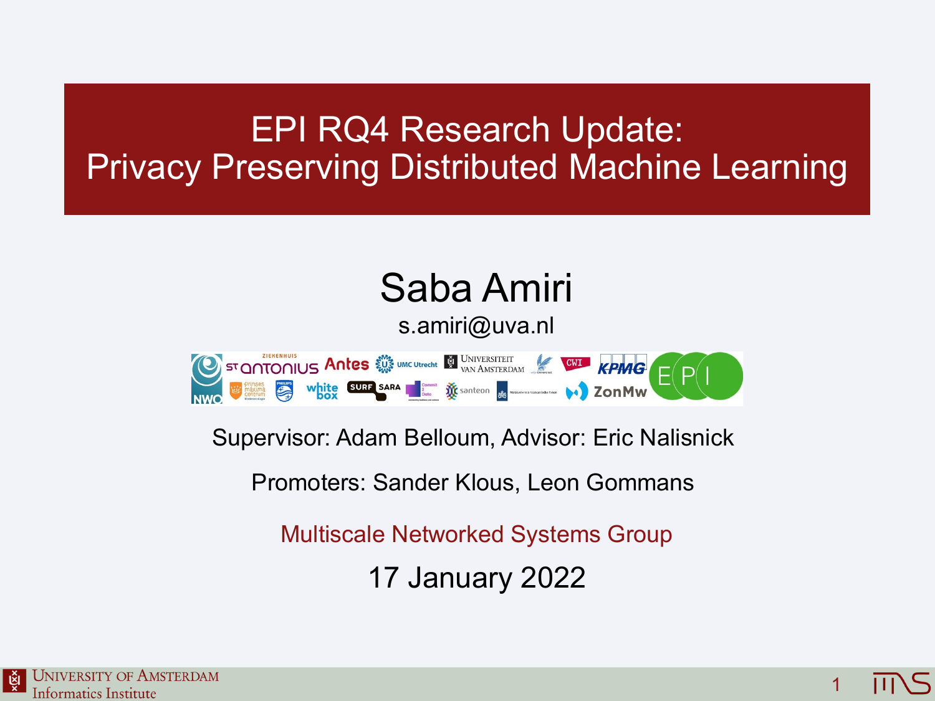#### EPI RQ4 Research Update: Privacy Preserving Distributed Machine Learning

# Saba Amiri

#### s.amiri@uva.nl

STONTONIUS Antes WE UNE UNIVERSITEIT KPMG EPI

Supervisor: Adam Belloum, Advisor: Eric Nalisnick

Promoters: Sander Klous, Leon Gommans

Multiscale Networked Systems Group

17 January 2022

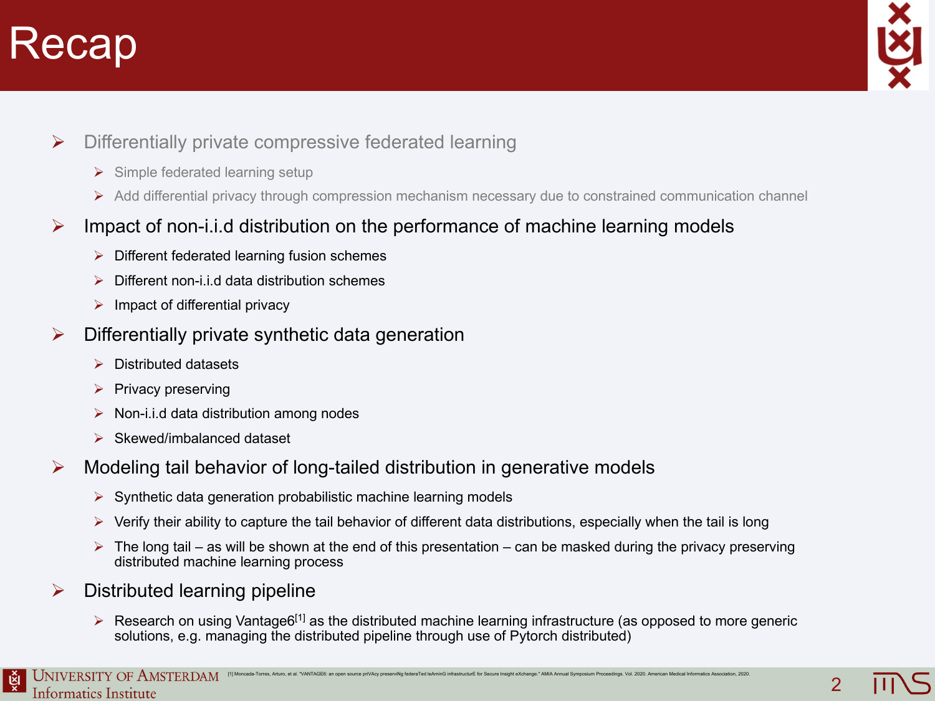#### Recap



- $\triangleright$  Differentially private compressive federated learning
	- $\triangleright$  Simple federated learning setup
	- Ø Add differential privacy through compression mechanism necessary due to constrained communication channel
- $\triangleright$  Impact of non-i.i.d distribution on the performance of machine learning models
	- $\triangleright$  Different federated learning fusion schemes
	- Ø Different non-i.i.d data distribution schemes
	- $\triangleright$  Impact of differential privacy
- $\triangleright$  Differentially private synthetic data generation
	- $\triangleright$  Distributed datasets
	- $\triangleright$  Privacy preserving
	- $\triangleright$  Non-i.i.d data distribution among nodes
	- $\triangleright$  Skewed/imbalanced dataset
- $\triangleright$  Modeling tail behavior of long-tailed distribution in generative models
	- $\triangleright$  Synthetic data generation probabilistic machine learning models
	- $\triangleright$  Verify their ability to capture the tail behavior of different data distributions, especially when the tail is long
	- $\triangleright$  The long tail as will be shown at the end of this presentation can be masked during the privacy preserving distributed machine learning process
- $\triangleright$  Distributed learning pipeline
	- $\triangleright$  Research on using Vantage6<sup>[1]</sup> as the distributed machine learning infrastructure (as opposed to more generic solutions, e.g. managing the distributed pipeline through use of Pytorch distributed)

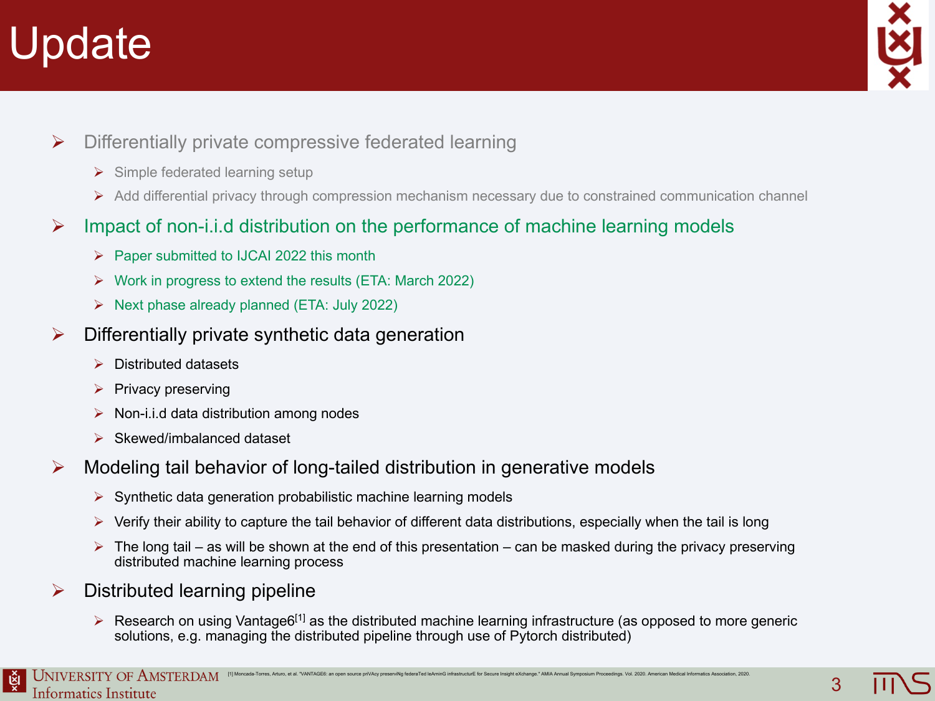# pdate



3

- $\triangleright$  Differentially private compressive federated learning
	- $\triangleright$  Simple federated learning setup
	- Ø Add differential privacy through compression mechanism necessary due to constrained communication channel
- $\triangleright$  Impact of non-i.i.d distribution on the performance of machine learning models
	- $\triangleright$  Paper submitted to IJCAI 2022 this month
	- $\triangleright$  Work in progress to extend the results (ETA: March 2022)
	- $\triangleright$  Next phase already planned (ETA: July 2022)
- $\triangleright$  Differentially private synthetic data generation
	- $\triangleright$  Distributed datasets
	- $\triangleright$  Privacy preserving
	- $\triangleright$  Non-i.i.d data distribution among nodes
	- $\triangleright$  Skewed/imbalanced dataset
- $\triangleright$  Modeling tail behavior of long-tailed distribution in generative models
	- $\triangleright$  Synthetic data generation probabilistic machine learning models
	- $\triangleright$  Verify their ability to capture the tail behavior of different data distributions, especially when the tail is long
	- $\triangleright$  The long tail as will be shown at the end of this presentation can be masked during the privacy preserving distributed machine learning process
- $\triangleright$  Distributed learning pipeline
	- $\triangleright$  Research on using Vantage6<sup>[1]</sup> as the distributed machine learning infrastructure (as opposed to more generic solutions, e.g. managing the distributed pipeline through use of Pytorch distributed)

୍ଞି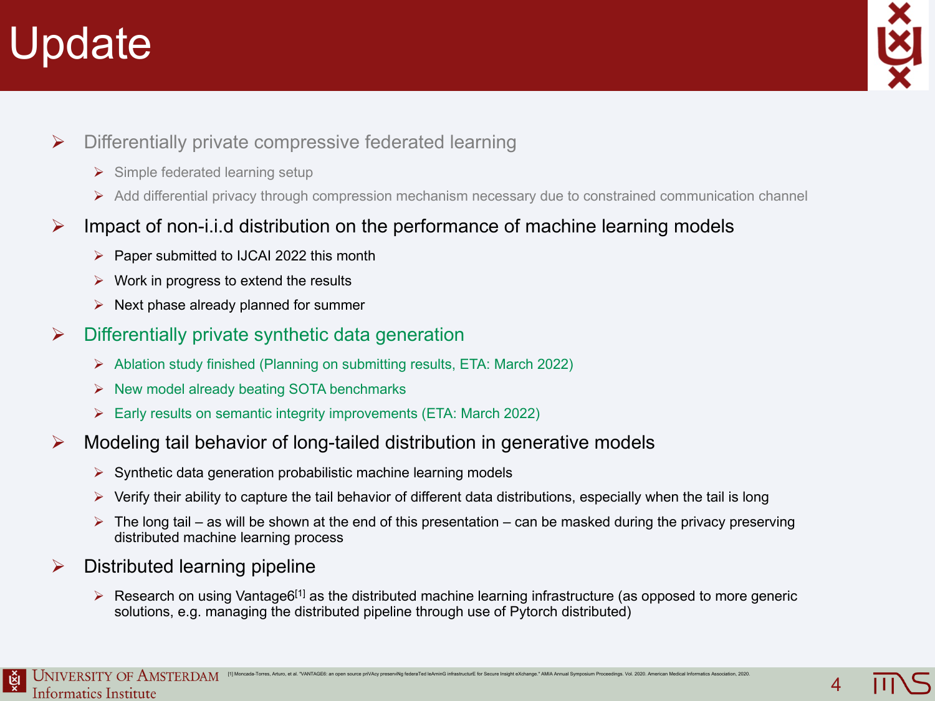# Update



- $\triangleright$  Differentially private compressive federated learning
	- $\triangleright$  Simple federated learning setup
	- Ø Add differential privacy through compression mechanism necessary due to constrained communication channel
- $\triangleright$  Impact of non-i.i.d distribution on the performance of machine learning models
	- $\triangleright$  Paper submitted to IJCAI 2022 this month
	- $\triangleright$  Work in progress to extend the results
	- $\triangleright$  Next phase already planned for summer
- $\triangleright$  Differentially private synthetic data generation
	- Ø Ablation study finished (Planning on submitting results, ETA: March 2022)
	- $\triangleright$  New model already beating SOTA benchmarks
	- Ø Early results on semantic integrity improvements (ETA: March 2022)
- $\triangleright$  Modeling tail behavior of long-tailed distribution in generative models
	- $\triangleright$  Synthetic data generation probabilistic machine learning models
	- $\triangleright$  Verify their ability to capture the tail behavior of different data distributions, especially when the tail is long
	- $\triangleright$  The long tail as will be shown at the end of this presentation can be masked during the privacy preserving distributed machine learning process
- $\triangleright$  Distributed learning pipeline
	- $\triangleright$  Research on using Vantage6<sup>[1]</sup> as the distributed machine learning infrastructure (as opposed to more generic solutions, e.g. managing the distributed pipeline through use of Pytorch distributed)

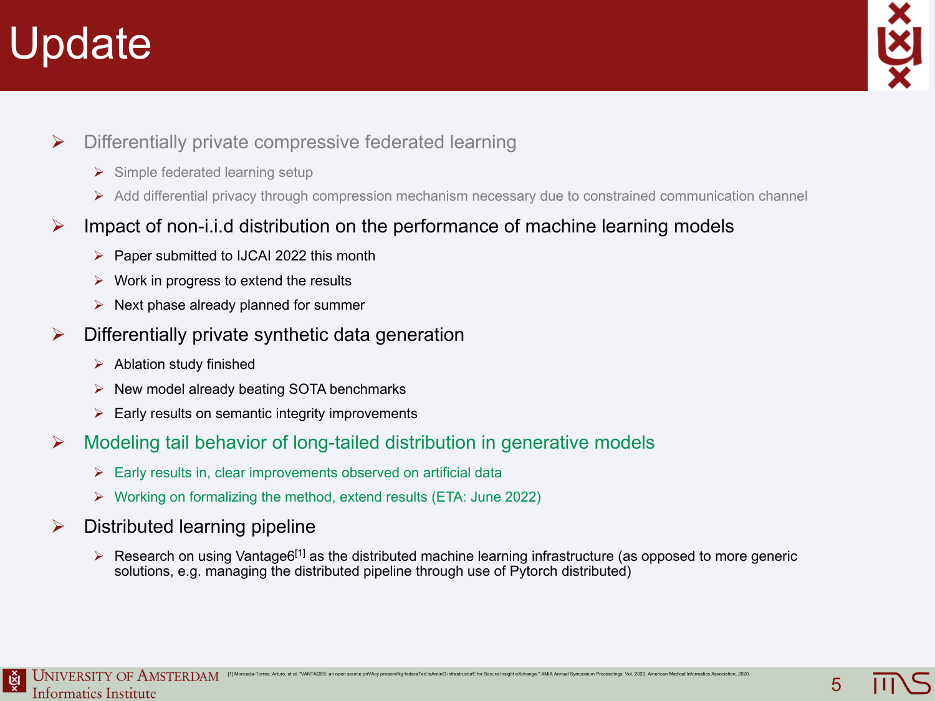# Update



5

- $\triangleright$  Differentially private compressive federated learning
	- $\triangleright$  Simple federated learning setup
	- Ø Add differential privacy through compression mechanism necessary due to constrained communication channel
- $\triangleright$  Impact of non-i.i.d distribution on the performance of machine learning models
	- $\triangleright$  Paper submitted to IJCAI 2022 this month
	- $\triangleright$  Work in progress to extend the results
	- $\triangleright$  Next phase already planned for summer
- $\triangleright$  Differentially private synthetic data generation
	- $\triangleright$  Ablation study finished
	- $\triangleright$  New model already beating SOTA benchmarks
	- $\triangleright$  Early results on semantic integrity improvements
- $\triangleright$  Modeling tail behavior of long-tailed distribution in generative models
	- $\triangleright$  Early results in, clear improvements observed on artificial data
	- Ø Working on formalizing the method, extend results (ETA: June 2022)
- $\triangleright$  Distributed learning pipeline
	- $\triangleright$  Research on using Vantage6<sup>[1]</sup> as the distributed machine learning infrastructure (as opposed to more generic solutions, e.g. managing the distributed pipeline through use of Pytorch distributed)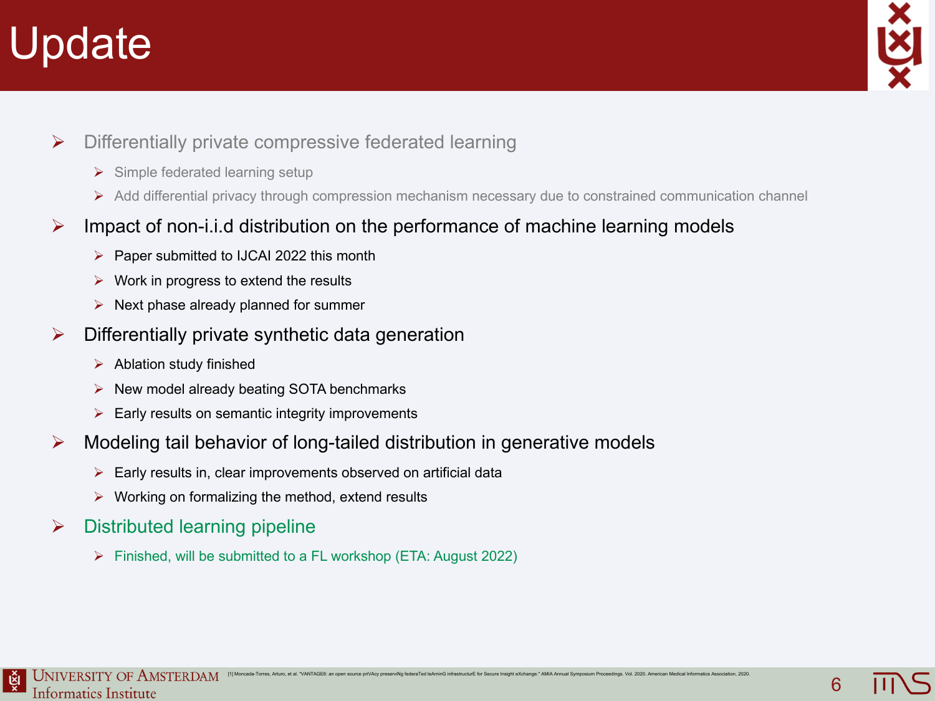# Update



- $\triangleright$  Differentially private compressive federated learning
	- $\triangleright$  Simple federated learning setup
	- Ø Add differential privacy through compression mechanism necessary due to constrained communication channel
- $\triangleright$  Impact of non-i.i.d distribution on the performance of machine learning models
	- $\triangleright$  Paper submitted to IJCAI 2022 this month
	- $\triangleright$  Work in progress to extend the results
	- $\triangleright$  Next phase already planned for summer
- $\triangleright$  Differentially private synthetic data generation
	- $\triangleright$  Ablation study finished
	- $\triangleright$  New model already beating SOTA benchmarks
	- $\triangleright$  Early results on semantic integrity improvements
- $\triangleright$  Modeling tail behavior of long-tailed distribution in generative models
	- $\triangleright$  Early results in, clear improvements observed on artificial data
	- $\triangleright$  Working on formalizing the method, extend results
- $\triangleright$  Distributed learning pipeline
	- Ø Finished, will be submitted to a FL workshop (ETA: August 2022)